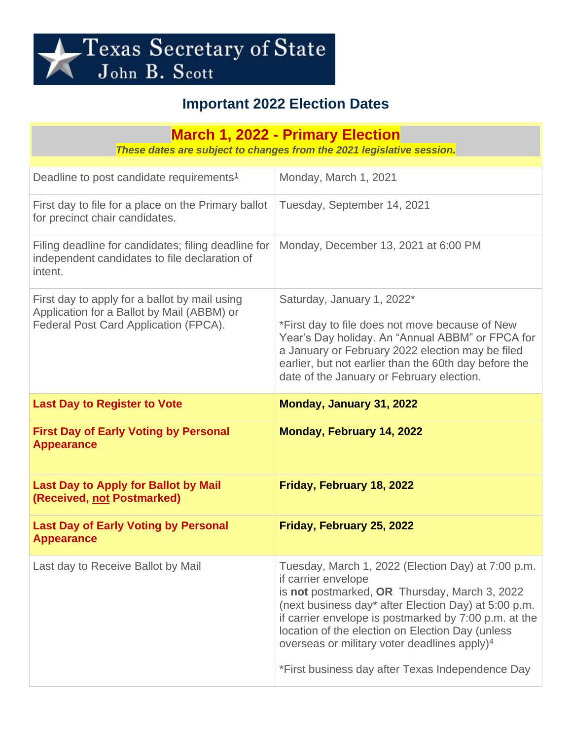

## **Important 2022 Election Dates**

| <b>March 1, 2022 - Primary Election</b><br>These dates are subject to changes from the 2021 legislative session.                     |                                                                                                                                                                                                                                                                                                                                                                                                        |
|--------------------------------------------------------------------------------------------------------------------------------------|--------------------------------------------------------------------------------------------------------------------------------------------------------------------------------------------------------------------------------------------------------------------------------------------------------------------------------------------------------------------------------------------------------|
| Deadline to post candidate requirements <sup>1</sup>                                                                                 | Monday, March 1, 2021                                                                                                                                                                                                                                                                                                                                                                                  |
| First day to file for a place on the Primary ballot<br>for precinct chair candidates.                                                | Tuesday, September 14, 2021                                                                                                                                                                                                                                                                                                                                                                            |
| Filing deadline for candidates; filing deadline for<br>independent candidates to file declaration of<br>intent.                      | Monday, December 13, 2021 at 6:00 PM                                                                                                                                                                                                                                                                                                                                                                   |
| First day to apply for a ballot by mail using<br>Application for a Ballot by Mail (ABBM) or<br>Federal Post Card Application (FPCA). | Saturday, January 1, 2022*<br>*First day to file does not move because of New<br>Year's Day holiday. An "Annual ABBM" or FPCA for<br>a January or February 2022 election may be filed<br>earlier, but not earlier than the 60th day before the<br>date of the January or February election.                                                                                                            |
| <b>Last Day to Register to Vote</b>                                                                                                  | Monday, January 31, 2022                                                                                                                                                                                                                                                                                                                                                                               |
| <b>First Day of Early Voting by Personal</b><br><b>Appearance</b>                                                                    | <b>Monday, February 14, 2022</b>                                                                                                                                                                                                                                                                                                                                                                       |
| <b>Last Day to Apply for Ballot by Mail</b><br>(Received, not Postmarked)                                                            | Friday, February 18, 2022                                                                                                                                                                                                                                                                                                                                                                              |
| <b>Last Day of Early Voting by Personal</b><br><b>Appearance</b>                                                                     | Friday, February 25, 2022                                                                                                                                                                                                                                                                                                                                                                              |
| Last day to Receive Ballot by Mail                                                                                                   | Tuesday, March 1, 2022 (Election Day) at 7:00 p.m.<br>if carrier envelope<br>is not postmarked, OR Thursday, March 3, 2022<br>(next business day* after Election Day) at 5:00 p.m.<br>if carrier envelope is postmarked by 7:00 p.m. at the<br>location of the election on Election Day (unless<br>overseas or military voter deadlines apply) $4$<br>*First business day after Texas Independence Day |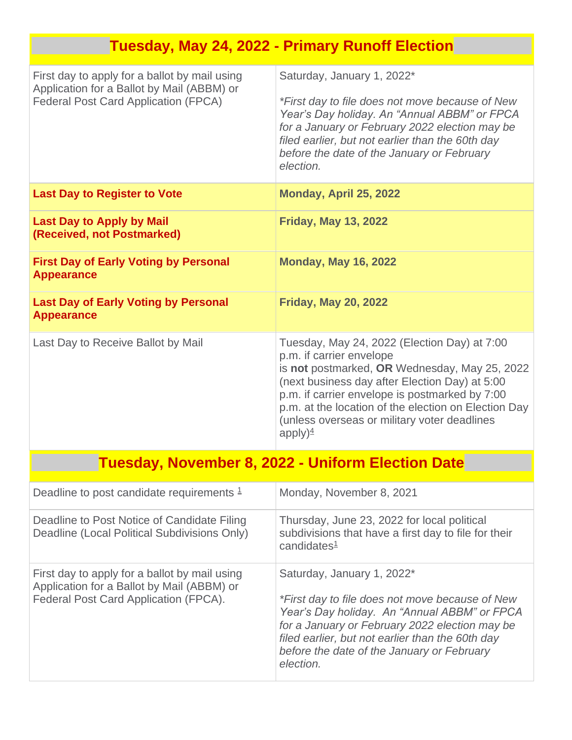|                                                                                                                                            | <b>Tuesday, May 24, 2022 - Primary Runoff Election</b>                                                                                                                                                                                                                                                                                                        |
|--------------------------------------------------------------------------------------------------------------------------------------------|---------------------------------------------------------------------------------------------------------------------------------------------------------------------------------------------------------------------------------------------------------------------------------------------------------------------------------------------------------------|
| First day to apply for a ballot by mail using<br>Application for a Ballot by Mail (ABBM) or<br><b>Federal Post Card Application (FPCA)</b> | Saturday, January 1, 2022*<br>*First day to file does not move because of New<br>Year's Day holiday. An "Annual ABBM" or FPCA<br>for a January or February 2022 election may be<br>filed earlier, but not earlier than the 60th day<br>before the date of the January or February<br>election.                                                                |
| <b>Last Day to Register to Vote</b>                                                                                                        | Monday, April 25, 2022                                                                                                                                                                                                                                                                                                                                        |
| <b>Last Day to Apply by Mail</b><br>(Received, not Postmarked)                                                                             | <b>Friday, May 13, 2022</b>                                                                                                                                                                                                                                                                                                                                   |
| <b>First Day of Early Voting by Personal</b><br><b>Appearance</b>                                                                          | <b>Monday, May 16, 2022</b>                                                                                                                                                                                                                                                                                                                                   |
| <b>Last Day of Early Voting by Personal</b><br><b>Appearance</b>                                                                           | <b>Friday, May 20, 2022</b>                                                                                                                                                                                                                                                                                                                                   |
| Last Day to Receive Ballot by Mail                                                                                                         | Tuesday, May 24, 2022 (Election Day) at 7:00<br>p.m. if carrier envelope<br>is not postmarked, OR Wednesday, May 25, 2022<br>(next business day after Election Day) at 5:00<br>p.m. if carrier envelope is postmarked by 7:00<br>p.m. at the location of the election on Election Day<br>(unless overseas or military voter deadlines<br>apply) $\frac{4}{7}$ |
| <b>Tuesday, November 8, 2022 - Uniform Election Date</b>                                                                                   |                                                                                                                                                                                                                                                                                                                                                               |
| Deadline to post candidate requirements $1$                                                                                                | Monday, November 8, 2021                                                                                                                                                                                                                                                                                                                                      |
| Deadline to Post Notice of Candidate Filing<br>Deadline (Local Political Subdivisions Only)                                                | Thursday, June 23, 2022 for local political<br>subdivisions that have a first day to file for their<br>candidates $1$                                                                                                                                                                                                                                         |
| First day to apply for a ballot by mail using<br>Application for a Ballot by Mail (ABBM) or<br>Federal Post Card Application (FPCA).       | Saturday, January 1, 2022*<br>*First day to file does not move because of New<br>Year's Day holiday. An "Annual ABBM" or FPCA<br>for a January or February 2022 election may be<br>filed earlier, but not earlier than the 60th day<br>before the date of the January or February<br>election.                                                                |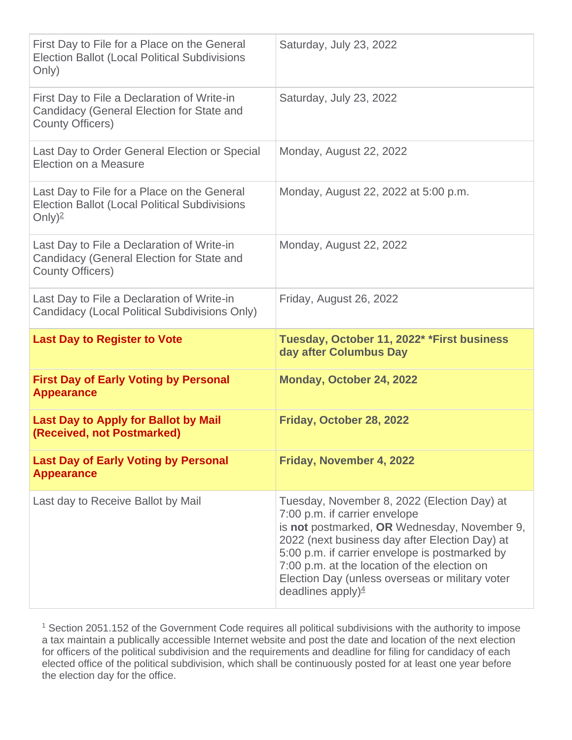| First Day to File for a Place on the General<br><b>Election Ballot (Local Political Subdivisions</b><br>Only)             | Saturday, July 23, 2022                                              |
|---------------------------------------------------------------------------------------------------------------------------|----------------------------------------------------------------------|
| First Day to File a Declaration of Write-in<br>Candidacy (General Election for State and<br><b>County Officers)</b>       | Saturday, July 23, 2022                                              |
| Last Day to Order General Election or Special<br>Election on a Measure                                                    | Monday, August 22, 2022                                              |
| Last Day to File for a Place on the General<br><b>Election Ballot (Local Political Subdivisions</b><br>Only) <sup>2</sup> | Monday, August 22, 2022 at 5:00 p.m.                                 |
| Last Day to File a Declaration of Write-in<br>Candidacy (General Election for State and<br><b>County Officers)</b>        | Monday, August 22, 2022                                              |
| Last Day to File a Declaration of Write-in<br>Candidacy (Local Political Subdivisions Only)                               | Friday, August 26, 2022                                              |
|                                                                                                                           |                                                                      |
| <b>Last Day to Register to Vote</b>                                                                                       | Tuesday, October 11, 2022* *First business<br>day after Columbus Day |
| <b>First Day of Early Voting by Personal</b><br><b>Appearance</b>                                                         | Monday, October 24, 2022                                             |
| <b>Last Day to Apply for Ballot by Mail</b><br>(Received, not Postmarked)                                                 | Friday, October 28, 2022                                             |
| <b>Last Day of Early Voting by Personal</b><br><b>Appearance</b>                                                          | Friday, November 4, 2022                                             |

<sup>1</sup> Section 2051.152 of the Government Code requires all political subdivisions with the authority to impose a tax maintain a publically accessible Internet website and post the date and location of the next election for officers of the political subdivision and the requirements and deadline for filing for candidacy of each elected office of the political subdivision, which shall be continuously posted for at least one year before the election day for the office.